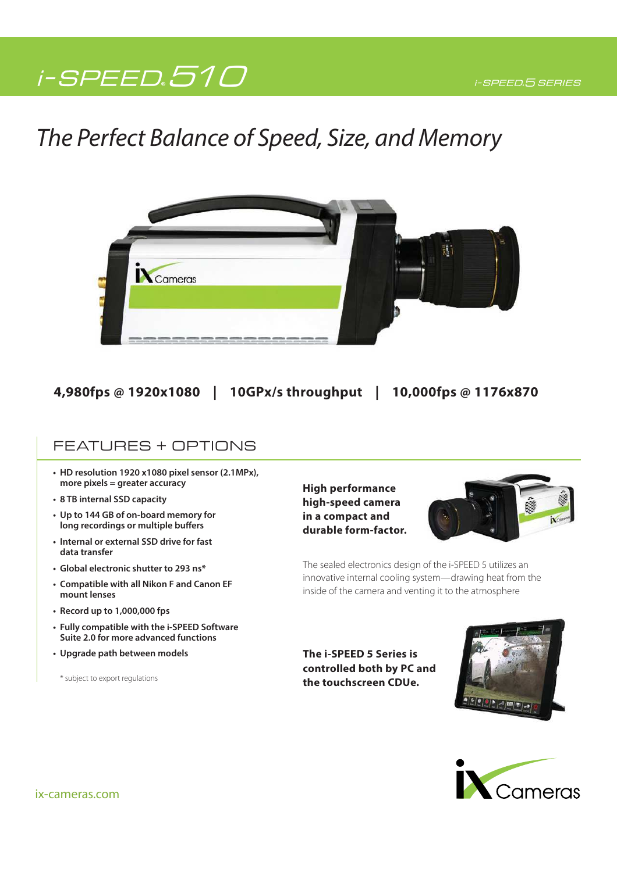# i-SPEED.510

## The Perfect Balance of Speed, Size, and Memory



## **4,980fps @ 1920x1080 | 10GPx/s throughput | 10,000fps @ 1176x870**

### FEATURES + OPTIONS

- **HD resolution 1920 x1080 pixel sensor (2.1MPx), more pixels = greater accuracy**
- **8 TB internal SSD capacity**
- **Up to 144 GB of on-board memory for long recordings or multiple buffers**
- **Internal or external SSD drive for fast data transfer**
- **Global electronic shutter to 293 ns\***
- **Compatible with all Nikon F and Canon EF mount lenses**
- **Record up to 1,000,000 fps**
- **Fully compatible with the i-SPEED Software Suite 2.0 for more advanced functions**
- **Upgrade path between models**

\* subject to export regulations

**High performance high-speed camera in a compact and durable form-factor.**



The sealed electronics design of the i-SPEED 5 utilizes an innovative internal cooling system—drawing heat from the inside of the camera and venting it to the atmosphere

**The i-SPEED 5 Series is controlled both by PC and the touchscreen CDUe.**